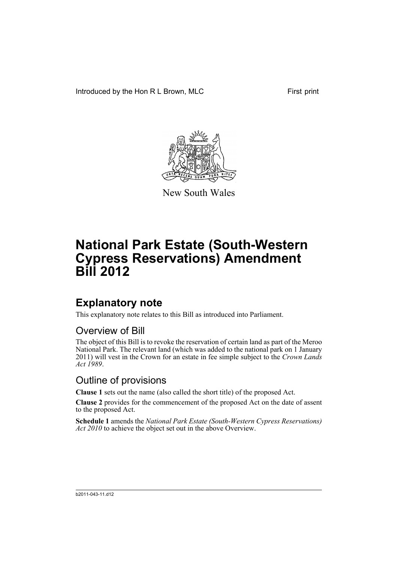Introduced by the Hon R L Brown, MLC First print



New South Wales

# **National Park Estate (South-Western Cypress Reservations) Amendment Bill 2012**

## **Explanatory note**

This explanatory note relates to this Bill as introduced into Parliament.

### Overview of Bill

The object of this Bill is to revoke the reservation of certain land as part of the Meroo National Park. The relevant land (which was added to the national park on 1 January 2011) will vest in the Crown for an estate in fee simple subject to the *Crown Lands Act 1989*.

### Outline of provisions

**Clause 1** sets out the name (also called the short title) of the proposed Act.

**Clause 2** provides for the commencement of the proposed Act on the date of assent to the proposed Act.

**Schedule 1** amends the *National Park Estate (South-Western Cypress Reservations) Act 2010* to achieve the object set out in the above Overview.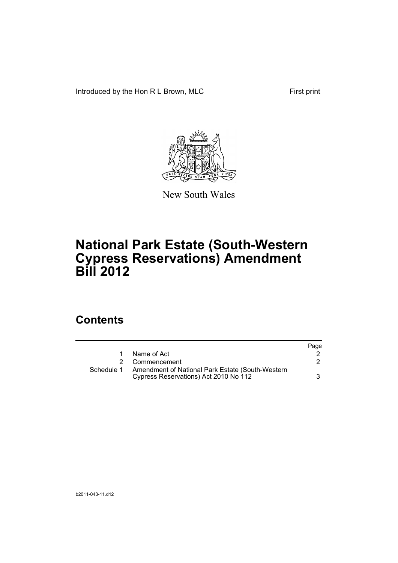Introduced by the Hon R L Brown, MLC First print



New South Wales

# **National Park Estate (South-Western Cypress Reservations) Amendment Bill 2012**

## **Contents**

|            |                                                                                           | Page |
|------------|-------------------------------------------------------------------------------------------|------|
|            | Name of Act                                                                               |      |
|            | 2 Commencement                                                                            |      |
| Schedule 1 | Amendment of National Park Estate (South-Western<br>Cypress Reservations) Act 2010 No 112 | 3    |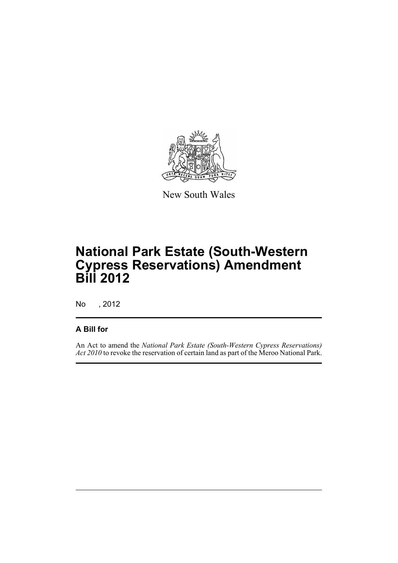

New South Wales

# **National Park Estate (South-Western Cypress Reservations) Amendment Bill 2012**

No , 2012

### **A Bill for**

An Act to amend the *National Park Estate (South-Western Cypress Reservations) Act 2010* to revoke the reservation of certain land as part of the Meroo National Park.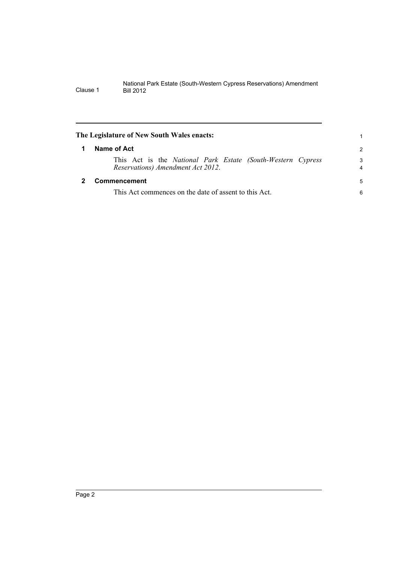<span id="page-5-1"></span><span id="page-5-0"></span>

| The Legislature of New South Wales enacts:                                                       | 1             |
|--------------------------------------------------------------------------------------------------|---------------|
| Name of Act                                                                                      | $\mathcal{P}$ |
| This Act is the National Park Estate (South-Western Cypress<br>Reservations) Amendment Act 2012. | 3<br>4        |
| Commencement                                                                                     | 5             |
| This Act commences on the date of assent to this Act.                                            |               |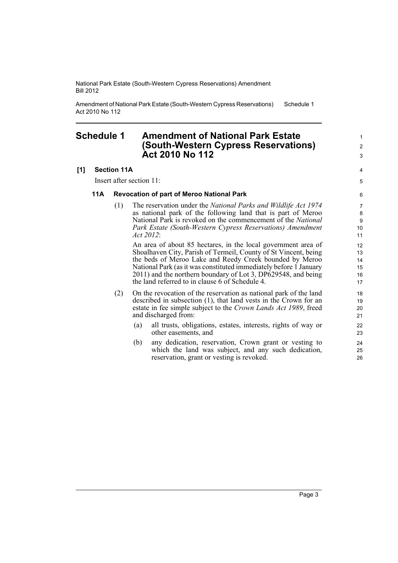National Park Estate (South-Western Cypress Reservations) Amendment Bill 2012

Amendment of National Park Estate (South-Western Cypress Reservations) Act 2010 No 112 Schedule 1

#### <span id="page-6-0"></span>**Schedule 1 Amendment of National Park Estate (South-Western Cypress Reservations) Act 2010 No 112**

#### **[1] Section 11A**

Insert after section 11:

#### **11A Revocation of part of Meroo National Park**

(1) The reservation under the *National Parks and Wildlife Act 1974* as national park of the following land that is part of Meroo National Park is revoked on the commencement of the *National Park Estate (South-Western Cypress Reservations) Amendment Act 2012*:

An area of about 85 hectares, in the local government area of Shoalhaven City, Parish of Termeil, County of St Vincent, being the beds of Meroo Lake and Reedy Creek bounded by Meroo National Park (as it was constituted immediately before 1 January 2011) and the northern boundary of Lot 3, DP629548, and being the land referred to in clause 6 of Schedule 4.

- (2) On the revocation of the reservation as national park of the land described in subsection (1), that land vests in the Crown for an estate in fee simple subject to the *Crown Lands Act 1989*, freed and discharged from:
	- (a) all trusts, obligations, estates, interests, rights of way or other easements, and
	- (b) any dedication, reservation, Crown grant or vesting to which the land was subject, and any such dedication, reservation, grant or vesting is revoked.

1 2 3

4 5